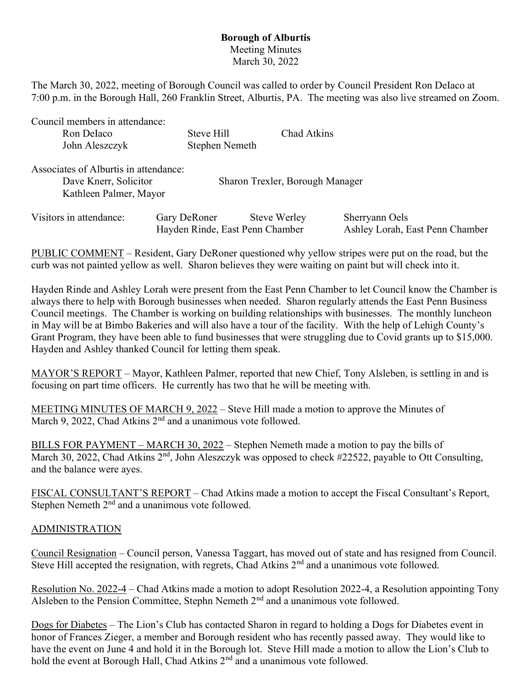## Borough of Alburtis Meeting Minutes March 30, 2022

The March 30, 2022, meeting of Borough Council was called to order by Council President Ron DeIaco at 7:00 p.m. in the Borough Hall, 260 Franklin Street, Alburtis, PA. The meeting was also live streamed on Zoom.

Council members in attendance: Ron Delaco Steve Hill Chad Atkins John Aleszczyk Stephen Nemeth

| Associates of Alburtis in attendance:<br>Dave Knerr, Solicitor<br>Kathleen Palmer, Mayor |              | Sharon Trexler, Borough Manager                        |                                                   |
|------------------------------------------------------------------------------------------|--------------|--------------------------------------------------------|---------------------------------------------------|
| Visitors in attendance:                                                                  | Gary DeRoner | <b>Steve Werley</b><br>Hayden Rinde, East Penn Chamber | Sherryann Oels<br>Ashley Lorah, East Penn Chamber |

PUBLIC COMMENT – Resident, Gary DeRoner questioned why yellow stripes were put on the road, but the curb was not painted yellow as well. Sharon believes they were waiting on paint but will check into it.

Hayden Rinde and Ashley Lorah were present from the East Penn Chamber to let Council know the Chamber is always there to help with Borough businesses when needed. Sharon regularly attends the East Penn Business Council meetings. The Chamber is working on building relationships with businesses. The monthly luncheon in May will be at Bimbo Bakeries and will also have a tour of the facility. With the help of Lehigh County's Grant Program, they have been able to fund businesses that were struggling due to Covid grants up to \$15,000. Hayden and Ashley thanked Council for letting them speak.

MAYOR'S REPORT – Mayor, Kathleen Palmer, reported that new Chief, Tony Alsleben, is settling in and is focusing on part time officers. He currently has two that he will be meeting with.

MEETING MINUTES OF MARCH 9, 2022 – Steve Hill made a motion to approve the Minutes of March 9, 2022, Chad Atkins  $2<sup>nd</sup>$  and a unanimous vote followed.

BILLS FOR PAYMENT – MARCH 30, 2022 – Stephen Nemeth made a motion to pay the bills of March 30, 2022, Chad Atkins  $2<sup>nd</sup>$ , John Aleszczyk was opposed to check #22522, payable to Ott Consulting, and the balance were ayes.

FISCAL CONSULTANT'S REPORT – Chad Atkins made a motion to accept the Fiscal Consultant's Report, Stephen Nemeth  $2<sup>nd</sup>$  and a unanimous vote followed.

## ADMINISTRATION

Council Resignation – Council person, Vanessa Taggart, has moved out of state and has resigned from Council. Steve Hill accepted the resignation, with regrets, Chad Atkins  $2<sup>nd</sup>$  and a unanimous vote followed.

Resolution No. 2022-4 – Chad Atkins made a motion to adopt Resolution 2022-4, a Resolution appointing Tony Alsleben to the Pension Committee, Stephn Nemeth  $2<sup>nd</sup>$  and a unanimous vote followed.

Dogs for Diabetes – The Lion's Club has contacted Sharon in regard to holding a Dogs for Diabetes event in honor of Frances Zieger, a member and Borough resident who has recently passed away. They would like to have the event on June 4 and hold it in the Borough lot. Steve Hill made a motion to allow the Lion's Club to hold the event at Borough Hall, Chad Atkins 2<sup>nd</sup> and a unanimous vote followed.